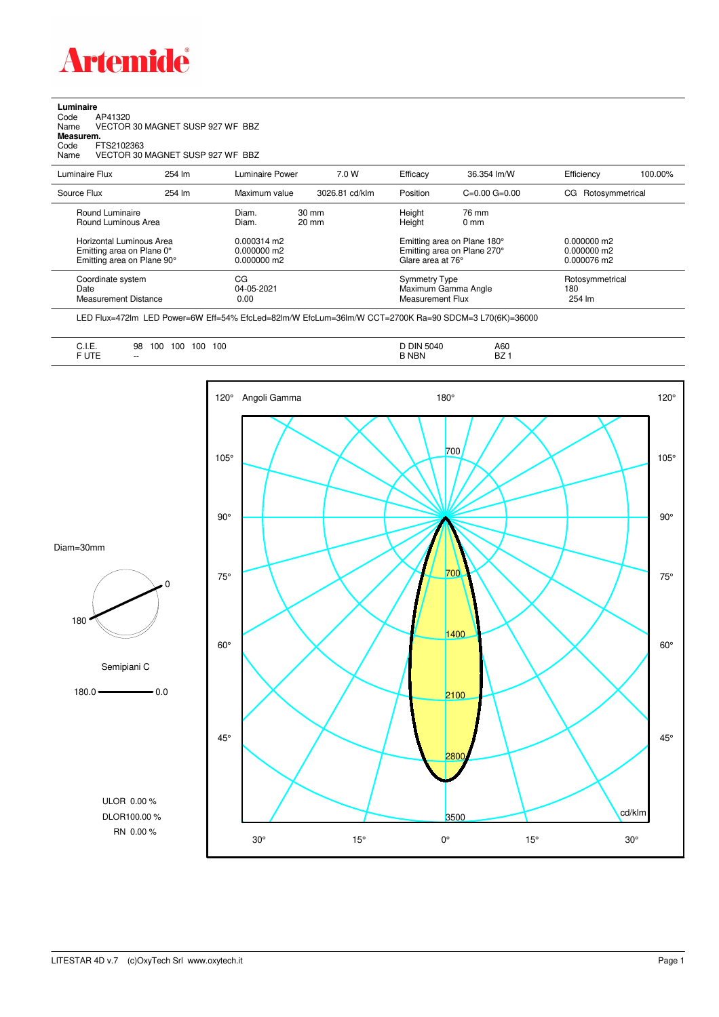

**Luminaire**<br>Code /<br>Name \ Code AP41320 Name VECTOR 30 MAGNET SUSP 927 WF BBZ **Measurem.** Code FTS2102363<br>Name VECTOR 30 VECTOR 30 MAGNET SUSP 927 WF BBZ

| Luminaire Flux                                                                      | 254 lm | Luminaire Power                                        | 7.0 W                              | Efficacy                                 | 36.354 lm/W                                                | Efficiency                                    | 100.00% |
|-------------------------------------------------------------------------------------|--------|--------------------------------------------------------|------------------------------------|------------------------------------------|------------------------------------------------------------|-----------------------------------------------|---------|
| Source Flux                                                                         | 254 lm | Maximum value                                          | 3026.81 cd/klm                     | Position                                 | $C=0.00$ $G=0.00$                                          | Rotosymmetrical<br>CG                         |         |
| Round Luminaire<br>Round Luminous Area                                              |        | Diam.<br>Diam.                                         | $30 \text{ mm}$<br>$20 \text{ mm}$ | Height<br>Height                         | 76 mm<br>$0 \text{ mm}$                                    |                                               |         |
| Horizontal Luminous Area<br>Emitting area on Plane 0°<br>Emitting area on Plane 90° |        | $0.000314 \text{ m}$<br>$0.000000$ m2<br>$0.000000$ m2 |                                    | Glare area at 76°                        | Emitting area on Plane 180°<br>Emitting area on Plane 270° | $0.000000$ m2<br>$0.000000$ m2<br>0.000076 m2 |         |
| Coordinate system<br>Date<br>Measurement Distance                                   |        | CG<br>04-05-2021<br>0.00                               |                                    | <b>Symmetry Type</b><br>Measurement Flux | Maximum Gamma Angle                                        | Rotosymmetrical<br>180<br>254 lm              |         |

LED Flux=472lm LED Power=6W Eff=54% EfcLed=82lm/W EfcLum=36lm/W CCT=2700K Ra=90 SDCM=3 L70(6K)=36000